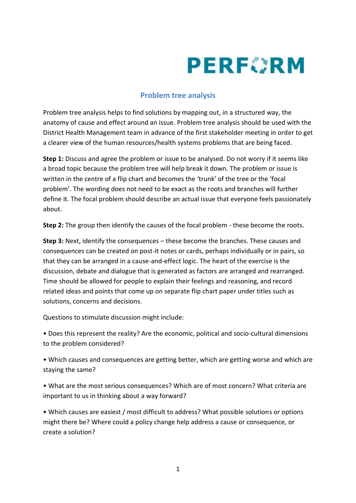## **PERFORM**

## **Problem tree analysis**

Problem tree analysis helps to find solutions by mapping out, in a structured way, the anatomy of cause and effect around an issue. Problem tree analysis should be used with the District Health Management team in advance of the first stakeholder meeting in order to get a clearer view of the human resources/health systems problems that are being faced.

**Step 1:** Discuss and agree the problem or issue to be analysed. Do not worry if it seems like a broad topic because the problem tree will help break it down. The problem or issue is written in the centre of a flip chart and becomes the 'trunk' of the tree or the 'focal problem'. The wording does not need to be exact as the roots and branches will further define it. The focal problem should describe an actual issue that everyone feels passionately about.

**Step 2:** The group then identify the causes of the focal problem - these become the roots.

**Step 3:** Next, identify the consequences – these become the branches. These causes and consequences can be created on post-it notes or cards, perhaps individually or in pairs, so that they can be arranged in a cause-and-effect logic. The heart of the exercise is the discussion, debate and dialogue that is generated as factors are arranged and rearranged. Time should be allowed for people to explain their feelings and reasoning, and record related ideas and points that come up on separate flip chart paper under titles such as solutions, concerns and decisions.

Questions to stimulate discussion might include:

• Does this represent the reality? Are the economic, political and socio-cultural dimensions to the problem considered?

• Which causes and consequences are getting better, which are getting worse and which are staying the same?

• What are the most serious consequences? Which are of most concern? What criteria are important to us in thinking about a way forward?

• Which causes are easiest / most difficult to address? What possible solutions or options might there be? Where could a policy change help address a cause or consequence, or create a solution?